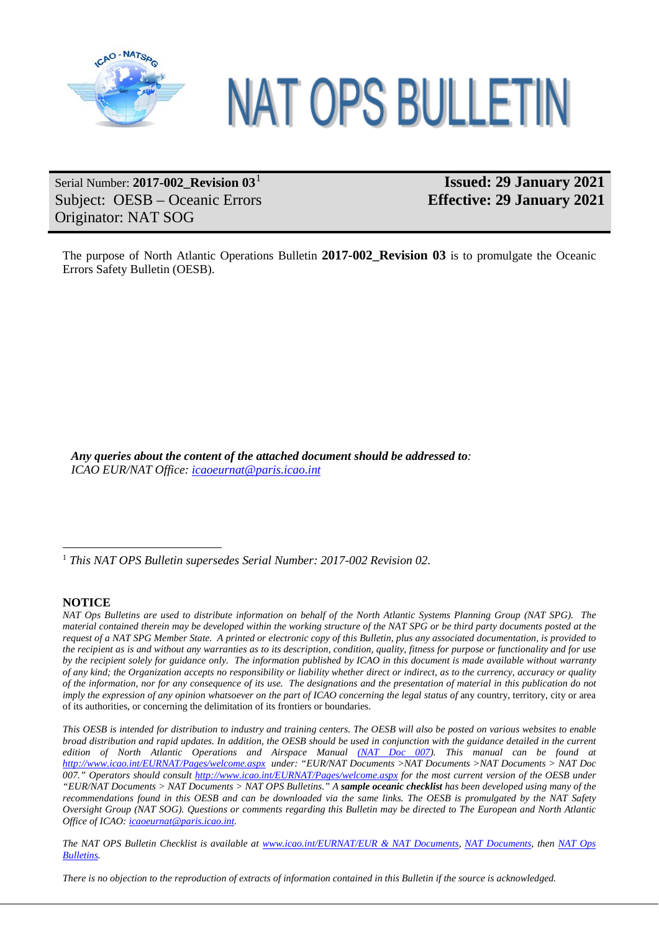

# NAT OPS BULLETIN

# Serial Number: **2017-002\_Revision 03**[1](#page-0-0) Subject: OESB – Oceanic Errors Originator: NAT SOG

# **Issued: 29 January 2021 Effective: 29 January 2021**

The purpose of North Atlantic Operations Bulletin **2017-002\_Revision 03** is to promulgate the Oceanic Errors Safety Bulletin (OESB).

*Any queries about the content of the attached document should be addressed to: ICAO EUR/NAT Office: [icaoeurnat@paris.icao.int](mailto:icaoeurnat@paris.icao.int)*

#### **NOTICE**

*NAT Ops Bulletins are used to distribute information on behalf of the North Atlantic Systems Planning Group (NAT SPG). The material contained therein may be developed within the working structure of the NAT SPG or be third party documents posted at the request of a NAT SPG Member State. A printed or electronic copy of this Bulletin, plus any associated documentation, is provided to the recipient as is and without any warranties as to its description, condition, quality, fitness for purpose or functionality and for use by the recipient solely for guidance only. The information published by ICAO in this document is made available without warranty of any kind; the Organization accepts no responsibility or liability whether direct or indirect, as to the currency, accuracy or quality of the information, nor for any consequence of its use. The designations and the presentation of material in this publication do not imply the expression of any opinion whatsoever on the part of ICAO concerning the legal status of any country, territory, city or area* of its authorities, or concerning the delimitation of its frontiers or boundaries.

*This OESB is intended for distribution to industry and training centers. The OESB will also be posted on various websites to enable broad distribution and rapid updates. In addition, the OESB should be used in conjunction with the guidance detailed in the current edition of North Atlantic Operations and Airspace Manual [\(NAT Doc 007\)](https://www.icao.int/EURNAT/EUR%20and%20NAT%20Documents/NAT%20Documents/NAT%20Documents/NAT%20Doc%20007/NAT%20Doc%20007%20%20(EN)%20-%20Edition%20V.2019-3_eff%20from%20July%202019.pdf). This manual can be found at <http://www.icao.int/EURNAT/Pages/welcome.aspx> under: "EUR/NAT Documents >NAT Documents >NAT Documents > NAT Doc 007." Operators should consult<http://www.icao.int/EURNAT/Pages/welcome.aspx> for the most current version of the OESB under "EUR/NAT Documents > NAT Documents > NAT OPS Bulletins." A sample oceanic checklist has been developed using many of the recommendations found in this OESB and can be downloaded via the same links. The OESB is promulgated by the NAT Safety Oversight Group (NAT SOG). Questions or comments regarding this Bulletin may be directed to The European and North Atlantic Office of ICAO[: icaoeurnat@paris.icao.int.](mailto:icaoeurnat@paris.icao.int)*

*The NAT OPS Bulletin Checklist is available at [www.icao.int/EURNAT/EUR & NAT Documents,](http://www.icao.int/EURNAT/) [NAT Documents,](http://www.icao.int/EURNAT/Pages/EUR-and-NAT-Document.aspx?RootFolder=%2FEURNAT%2FEUR%20and%20NAT%20Documents%2FNAT%20Documents&FolderCTID=0x012000DAF95319EADD9946B510C5D7B595637D00AA5EB47B299B9A4BAD1968B24E18655C&View=%7b2666E7DD-5F4E-4E64-B16A-CF142A1E5BC9%7d) then [NAT Ops](http://www.icao.int/EURNAT/Pages/EUR-and-NAT-Document.aspx?RootFolder=%2FEURNAT%2FEUR%20and%20NAT%20Documents%2FNAT%20Documents%2FNAT%20OPS%20Bulletins&FolderCTID=0x012000DAF95319EADD9946B510C5D7B595637D00AA5EB47B299B9A4BAD1968B24E18655C&View=%7b2666E7DD-5F4E-4E64-B16A-CF142A1E5BC9%7d)  [Bulletins.](http://www.icao.int/EURNAT/Pages/EUR-and-NAT-Document.aspx?RootFolder=%2FEURNAT%2FEUR%20and%20NAT%20Documents%2FNAT%20Documents%2FNAT%20OPS%20Bulletins&FolderCTID=0x012000DAF95319EADD9946B510C5D7B595637D00AA5EB47B299B9A4BAD1968B24E18655C&View=%7b2666E7DD-5F4E-4E64-B16A-CF142A1E5BC9%7d)*

*There is no objection to the reproduction of extracts of information contained in this Bulletin if the source is acknowledged.*

<span id="page-0-0"></span> <sup>1</sup> *This NAT OPS Bulletin supersedes Serial Number: 2017-002 Revision 02.*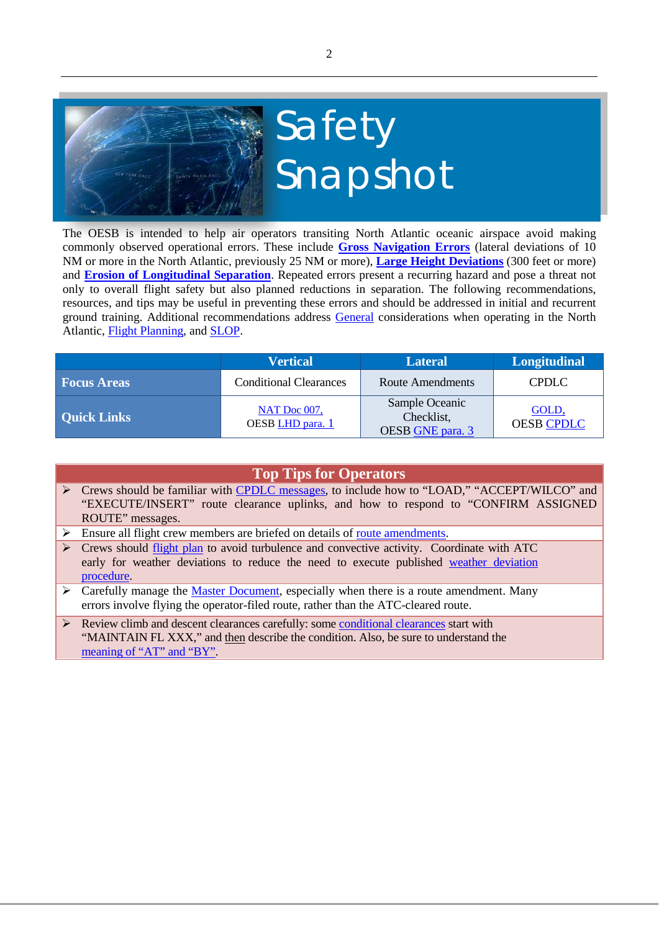

The OESB is intended to help air operators transiting North Atlantic oceanic airspace avoid making commonly observed operational errors. These include **[Gross Navigation Errors](#page-4-0)** (lateral deviations of 10 NM or more in the North Atlantic, previously 25 NM or more), **[Large Height Deviations](#page-2-0)** (300 feet or more) and **[Erosion of Longitudinal Separation](#page-5-0)**. Repeated errors present a recurring hazard and pose a threat not only to overall flight safety but also planned reductions in separation. The following recommendations, resources, and tips may be useful in preventing these errors and should be addressed in initial and recurrent ground training. Additional recommendations address [General](#page-7-0) considerations when operating in the North Atlantic, [Flight Planning,](#page-7-1) and [SLOP.](#page-8-0)

|                    | <b>Vertical</b>                  | <b>Lateral</b>                                   | <b>Longitudinal</b>        |
|--------------------|----------------------------------|--------------------------------------------------|----------------------------|
| <b>Focus Areas</b> | <b>Conditional Clearances</b>    | Route Amendments                                 | <b>CPDLC</b>               |
| <b>Quick Links</b> | NAT Doc 007,<br>OESB LHD para. 1 | Sample Oceanic<br>Checklist,<br>OESB GNE para. 3 | GOLD.<br><b>OESB CPDLC</b> |

| <b>Top Tips for Operators</b> |                                                                                                                                                                                                                            |  |  |
|-------------------------------|----------------------------------------------------------------------------------------------------------------------------------------------------------------------------------------------------------------------------|--|--|
|                               | ► Crews should be familiar with CPDLC messages, to include how to "LOAD," "ACCEPT/WILCO" and<br>"EXECUTE/INSERT" route clearance uplinks, and how to respond to "CONFIRM ASSIGNED"<br>ROUTE" messages.                     |  |  |
| ➤                             | Ensure all flight crew members are briefed on details of route amendments.                                                                                                                                                 |  |  |
| ➤                             | Crews should flight plan to avoid turbulence and convective activity. Coordinate with ATC<br>early for weather deviations to reduce the need to execute published weather deviation<br>procedure.                          |  |  |
|                               | $\triangleright$ Carefully manage the <u>Master Document</u> , especially when there is a route amendment. Many<br>errors involve flying the operator-filed route, rather than the ATC-cleared route.                      |  |  |
|                               | $\triangleright$ Review climb and descent clearances carefully: some conditional clearances start with<br>"MAINTAIN FL XXX," and then describe the condition. Also, be sure to understand the<br>meaning of "AT" and "BY". |  |  |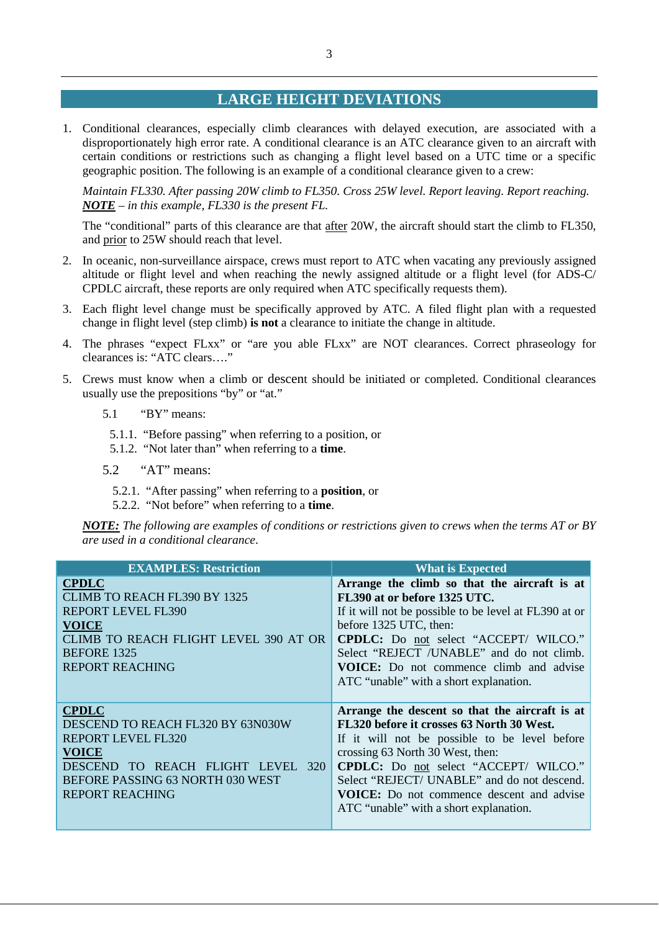## **LARGE HEIGHT DEVIATIONS**

<span id="page-2-1"></span><span id="page-2-0"></span>1. Conditional clearances, especially climb clearances with delayed execution, are associated with a disproportionately high error rate. A conditional clearance is an ATC clearance given to an aircraft with certain conditions or restrictions such as changing a flight level based on a UTC time or a specific geographic position. The following is an example of a conditional clearance given to a crew:

*Maintain FL330. After passing 20W climb to FL350. Cross 25W level. Report leaving. Report reaching. NOTE – in this example, FL330 is the present FL.* 

The "conditional" parts of this clearance are that after 20W, the aircraft should start the climb to FL350, and prior to 25W should reach that level.

- 2. In oceanic, non-surveillance airspace, crews must report to ATC when vacating any previously assigned altitude or flight level and when reaching the newly assigned altitude or a flight level (for ADS-C/ CPDLC aircraft, these reports are only required when ATC specifically requests them).
- 3. Each flight level change must be specifically approved by ATC. A filed flight plan with a requested change in flight level (step climb) **is not** a clearance to initiate the change in altitude.
- 4. The phrases "expect FLxx" or "are you able FLxx" are NOT clearances. Correct phraseology for clearances is: "ATC clears…."
- <span id="page-2-2"></span>5. Crews must know when a climb or descent should be initiated or completed. Conditional clearances usually use the prepositions "by" or "at."
	- 5.1 "BY" means:
		- 5.1.1. "Before passing" when referring to a position, or
		- 5.1.2. "Not later than" when referring to a **time**.
	- 5.2 "AT" means:
		- 5.2.1. "After passing" when referring to a **position**, or
		- 5.2.2. "Not before" when referring to a **time**.

*NOTE: The following are examples of conditions or restrictions given to crews when the terms AT or BY are used in a conditional clearance*.

| <b>EXAMPLES: Restriction</b>                                                                                                                                                                  | <b>What is Expected</b>                                                                                                                                                                                                                                                                                                                                                       |
|-----------------------------------------------------------------------------------------------------------------------------------------------------------------------------------------------|-------------------------------------------------------------------------------------------------------------------------------------------------------------------------------------------------------------------------------------------------------------------------------------------------------------------------------------------------------------------------------|
| <b>CPDLC</b><br><b>CLIMB TO REACH FL390 BY 1325</b><br><b>REPORT LEVEL FL390</b><br><b>VOICE</b><br><b>CLIMB TO REACH FLIGHT LEVEL 390 AT OR</b><br>BEFORE 1325<br><b>REPORT REACHING</b>     | Arrange the climb so that the aircraft is at<br>FL390 at or before 1325 UTC.<br>If it will not be possible to be level at FL390 at or<br>before 1325 UTC, then:<br><b>CPDLC:</b> Do not select "ACCEPT/ WILCO."<br>Select "REJECT /UNABLE" and do not climb.<br><b>VOICE:</b> Do not commence climb and advise<br>ATC "unable" with a short explanation.                      |
| <b>CPDLC</b><br>DESCEND TO REACH FL320 BY 63N030W<br>REPORT LEVEL FL320<br><b>VOICE</b><br>DESCEND TO REACH FLIGHT LEVEL<br>320<br>BEFORE PASSING 63 NORTH 030 WEST<br><b>REPORT REACHING</b> | Arrange the descent so that the aircraft is at<br>FL320 before it crosses 63 North 30 West.<br>If it will not be possible to be level before<br>crossing 63 North 30 West, then:<br><b>CPDLC:</b> Do not select "ACCEPT/ WILCO."<br>Select "REJECT/ UNABLE" and do not descend.<br><b>VOICE:</b> Do not commence descent and advise<br>ATC "unable" with a short explanation. |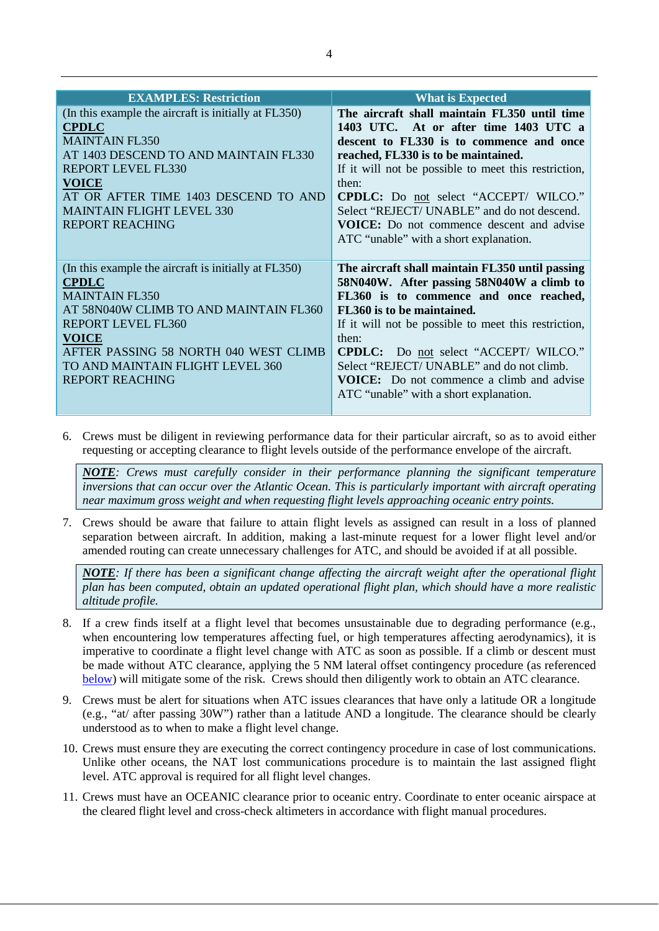| <b>EXAMPLES: Restriction</b>                         | <b>What is Expected</b>                              |
|------------------------------------------------------|------------------------------------------------------|
| (In this example the aircraft is initially at FL350) | The aircraft shall maintain FL350 until time         |
| <b>CPDLC</b>                                         | 1403 UTC. At or after time 1403 UTC a                |
| <b>MAINTAIN FL350</b>                                | descent to FL330 is to commence and once             |
| AT 1403 DESCEND TO AND MAINTAIN FL330                | reached, FL330 is to be maintained.                  |
| <b>REPORT LEVEL FL330</b>                            | If it will not be possible to meet this restriction, |
| <b>VOICE</b>                                         | then:                                                |
| AT OR AFTER TIME 1403 DESCEND TO AND                 | <b>CPDLC:</b> Do not select "ACCEPT/ WILCO."         |
| <b>MAINTAIN FLIGHT LEVEL 330</b>                     | Select "REJECT/ UNABLE" and do not descend.          |
| <b>REPORT REACHING</b>                               | <b>VOICE:</b> Do not commence descent and advise     |
|                                                      | ATC "unable" with a short explanation.               |
|                                                      |                                                      |
| (In this example the aircraft is initially at FL350) | The aircraft shall maintain FL350 until passing      |
| <b>CPDLC</b>                                         | 58N040W. After passing 58N040W a climb to            |
| <b>MAINTAIN FL350</b>                                | FL360 is to commence and once reached,               |
| AT 58N040W CLIMB TO AND MAINTAIN FL360               | FL360 is to be maintained.                           |
| <b>REPORT LEVEL FL360</b>                            | If it will not be possible to meet this restriction, |
| <b>VOICE</b>                                         | then:                                                |
| AFTER PASSING 58 NORTH 040 WEST CLIMB                | <b>CPDLC:</b> Do not select "ACCEPT/ WILCO."         |
| TO AND MAINTAIN FLIGHT LEVEL 360                     | Select "REJECT/ UNABLE" and do not climb.            |
| <b>REPORT REACHING</b>                               | <b>VOICE:</b> Do not commence a climb and advise     |
|                                                      | ATC "unable" with a short explanation.               |
|                                                      |                                                      |

6. Crews must be diligent in reviewing performance data for their particular aircraft, so as to avoid either requesting or accepting clearance to flight levels outside of the performance envelope of the aircraft.

*NOTE: Crews must carefully consider in their performance planning the significant temperature inversions that can occur over the Atlantic Ocean. This is particularly important with aircraft operating near maximum gross weight and when requesting flight levels approaching oceanic entry points.*

7. Crews should be aware that failure to attain flight levels as assigned can result in a loss of planned separation between aircraft. In addition, making a last-minute request for a lower flight level and/or amended routing can create unnecessary challenges for ATC, and should be avoided if at all possible.

*NOTE: If there has been a significant change affecting the aircraft weight after the operational flight plan has been computed, obtain an updated operational flight plan, which should have a more realistic altitude profile.*

- 8. If a crew finds itself at a flight level that becomes unsustainable due to degrading performance (e.g., when encountering low temperatures affecting fuel, or high temperatures affecting aerodynamics), it is imperative to coordinate a flight level change with ATC as soon as possible. If a climb or descent must be made without ATC clearance, applying the 5 NM lateral offset contingency procedure (as referenced [below\)](#page-6-0) will mitigate some of the risk. Crews should then diligently work to obtain an ATC clearance.
- 9. Crews must be alert for situations when ATC issues clearances that have only a latitude OR a longitude (e.g., "at/ after passing 30W") rather than a latitude AND a longitude. The clearance should be clearly understood as to when to make a flight level change.
- 10. Crews must ensure they are executing the correct contingency procedure in case of lost communications. Unlike other oceans, the NAT lost communications procedure is to maintain the last assigned flight level. ATC approval is required for all flight level changes.
- 11. Crews must have an OCEANIC clearance prior to oceanic entry. Coordinate to enter oceanic airspace at the cleared flight level and cross-check altimeters in accordance with flight manual procedures.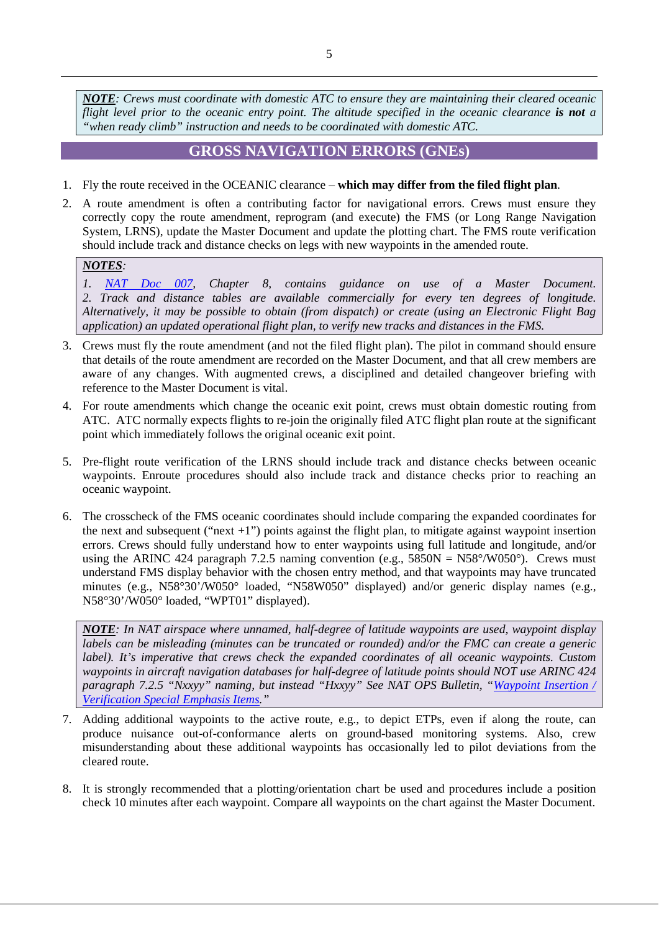*NOTE: Crews must coordinate with domestic ATC to ensure they are maintaining their cleared oceanic flight level prior to the oceanic entry point. The altitude specified in the oceanic clearance is not a "when ready climb" instruction and needs to be coordinated with domestic ATC.*

#### <span id="page-4-2"></span>**GROSS NAVIGATION ERRORS (GNEs)**

- <span id="page-4-0"></span>1. Fly the route received in the OCEANIC clearance – **which may differ from the filed flight plan**.
- 2. A route amendment is often a contributing factor for navigational errors. Crews must ensure they correctly copy the route amendment, reprogram (and execute) the FMS (or Long Range Navigation System, LRNS), update the Master Document and update the plotting chart. The FMS route verification should include track and distance checks on legs with new waypoints in the amended route.

#### *NOTES:*

<span id="page-4-1"></span>*1. [NAT Doc 007,](https://www.icao.int/EURNAT/EUR%20and%20NAT%20Documents/NAT%20Documents/NAT%20Documents/NAT%20Doc%20007/NAT%20Doc%20007%20%20(EN)%20-%20Edition%20V.2020-2.1_eff%20from%20Jul%202020.pdf) Chapter 8, contains guidance on use of a Master Document. 2. Track and distance tables are available commercially for every ten degrees of longitude. Alternatively, it may be possible to obtain (from dispatch) or create (using an Electronic Flight Bag application) an updated operational flight plan, to verify new tracks and distances in the FMS.*

- 3. Crews must fly the route amendment (and not the filed flight plan). The pilot in command should ensure that details of the route amendment are recorded on the Master Document, and that all crew members are aware of any changes. With augmented crews, a disciplined and detailed changeover briefing with reference to the Master Document is vital.
- 4. For route amendments which change the oceanic exit point, crews must obtain domestic routing from ATC. ATC normally expects flights to re-join the originally filed ATC flight plan route at the significant point which immediately follows the original oceanic exit point.
- 5. Pre-flight route verification of the LRNS should include track and distance checks between oceanic waypoints. Enroute procedures should also include track and distance checks prior to reaching an oceanic waypoint.
- 6. The crosscheck of the FMS oceanic coordinates should include comparing the expanded coordinates for the next and subsequent ("next +1") points against the flight plan, to mitigate against waypoint insertion errors. Crews should fully understand how to enter waypoints using full latitude and longitude, and/or using the ARINC 424 paragraph 7.2.5 naming convention (e.g.,  $5850N = N58^{\circ}/W050^{\circ}$ ). Crews must understand FMS display behavior with the chosen entry method, and that waypoints may have truncated minutes (e.g., N58°30'/W050° loaded, "N58W050" displayed) and/or generic display names (e.g., N58°30'/W050° loaded, "WPT01" displayed).

*NOTE: In NAT airspace where unnamed, half-degree of latitude waypoints are used, waypoint display labels can be misleading (minutes can be truncated or rounded) and/or the FMC can create a generic label). It's imperative that crews check the expanded coordinates of all oceanic waypoints. Custom waypoints in aircraft navigation databases for half-degree of latitude points should NOT use ARINC 424 paragraph 7.2.5 "Nxxyy" naming, but instead "Hxxyy" See NAT OPS Bulletin, "Waypoint Insertion / [Verification Special Emphasis Items.](https://www.icao.int/EURNAT/EUR%20and%20NAT%20Documents/NAT%20Documents/NAT%20OPS%20Bulletins/NAT%20OPS%20Bulletin%202018_003.pdf)"*

- 7. Adding additional waypoints to the active route, e.g., to depict ETPs, even if along the route, can produce nuisance out-of-conformance alerts on ground-based monitoring systems. Also, crew misunderstanding about these additional waypoints has occasionally led to pilot deviations from the cleared route.
- 8. It is strongly recommended that a plotting/orientation chart be used and procedures include a position check 10 minutes after each waypoint. Compare all waypoints on the chart against the Master Document.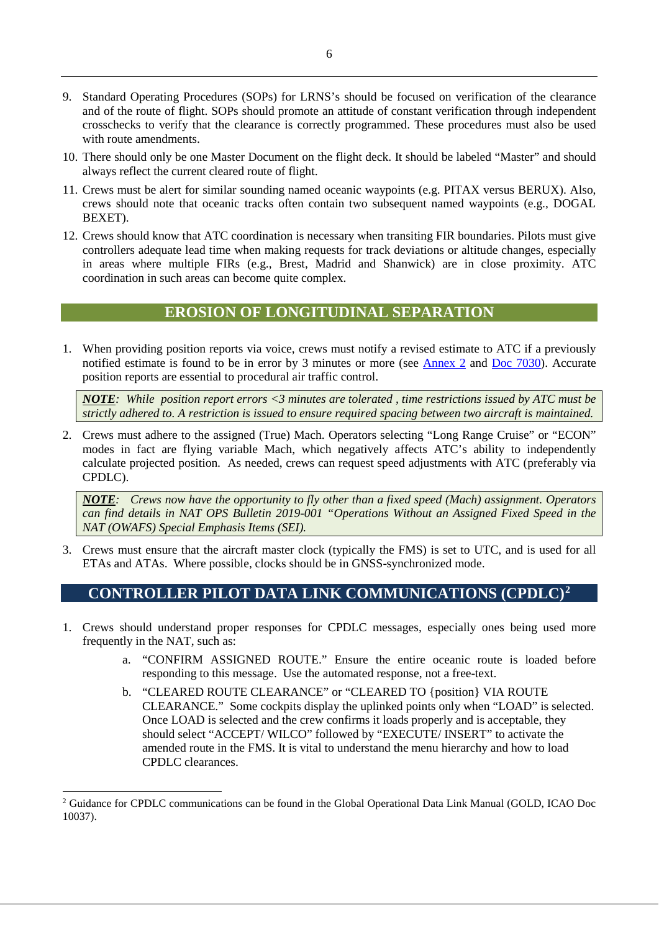- 9. Standard Operating Procedures (SOPs) for LRNS's should be focused on verification of the clearance and of the route of flight. SOPs should promote an attitude of constant verification through independent crosschecks to verify that the clearance is correctly programmed. These procedures must also be used with route amendments.
- 10. There should only be one Master Document on the flight deck. It should be labeled "Master" and should always reflect the current cleared route of flight.
- 11. Crews must be alert for similar sounding named oceanic waypoints (e.g. PITAX versus BERUX). Also, crews should note that oceanic tracks often contain two subsequent named waypoints (e.g., DOGAL BEXET).
- 12. Crews should know that ATC coordination is necessary when transiting FIR boundaries. Pilots must give controllers adequate lead time when making requests for track deviations or altitude changes, especially in areas where multiple FIRs (e.g., Brest, Madrid and Shanwick) are in close proximity. ATC coordination in such areas can become quite complex.

#### **EROSION OF LONGITUDINAL SEPARATION**

<span id="page-5-0"></span>1. When providing position reports via voice, crews must notify a revised estimate to ATC if a previously notified estimate is found to be in error by 3 minutes or more (see [Annex 2](https://store.icao.int/en/annex-2-rules-of-the-air) and [Doc 7030\)](https://www.icao.int/EURNAT/EUR%20and%20NAT%20Documents/NAT%20Documents/NAT%20SUPPs%20working%20copy/Doc7030-NAT%20SUPPs%20-%20Web%20copy%20(EN)%20-%20Ed5%20Amd9_latest%20version_191014.pdf). Accurate position reports are essential to procedural air traffic control.

*NOTE: While position report errors <3 minutes are tolerated , time restrictions issued by ATC must be strictly adhered to. A restriction is issued to ensure required spacing between two aircraft is maintained.*

2. Crews must adhere to the assigned (True) Mach. Operators selecting "Long Range Cruise" or "ECON" modes in fact are flying variable Mach, which negatively affects ATC's ability to independently calculate projected position. As needed, crews can request speed adjustments with ATC (preferably via CPDLC).

*NOTE: Crews now have the opportunity to fly other than a fixed speed (Mach) assignment. Operators can find details in NAT OPS Bulletin 2019-001 "Operations Without an Assigned Fixed Speed in the NAT (OWAFS) Special Emphasis Items (SEI).*

3. Crews must ensure that the aircraft master clock (typically the FMS) is set to UTC, and is used for all ETAs and ATAs. Where possible, clocks should be in GNSS-synchronized mode.

## <span id="page-5-1"></span>**CONTROLLER PILOT DATA LINK COMMUNICATIONS (CPDLC)[2](#page-5-2)**

- 1. Crews should understand proper responses for CPDLC messages, especially ones being used more frequently in the NAT, such as:
	- a. "CONFIRM ASSIGNED ROUTE." Ensure the entire oceanic route is loaded before responding to this message. Use the automated response, not a free-text.
	- b. "CLEARED ROUTE CLEARANCE" or "CLEARED TO {position} VIA ROUTE CLEARANCE." Some cockpits display the uplinked points only when "LOAD" is selected. Once LOAD is selected and the crew confirms it loads properly and is acceptable, they should select "ACCEPT/ WILCO" followed by "EXECUTE/ INSERT" to activate the amended route in the FMS. It is vital to understand the menu hierarchy and how to load CPDLC clearances.

<span id="page-5-2"></span><sup>&</sup>lt;sup>2</sup> Guidance for CPDLC communications can be found in the Global Operational Data Link Manual (GOLD, ICAO Doc 10037).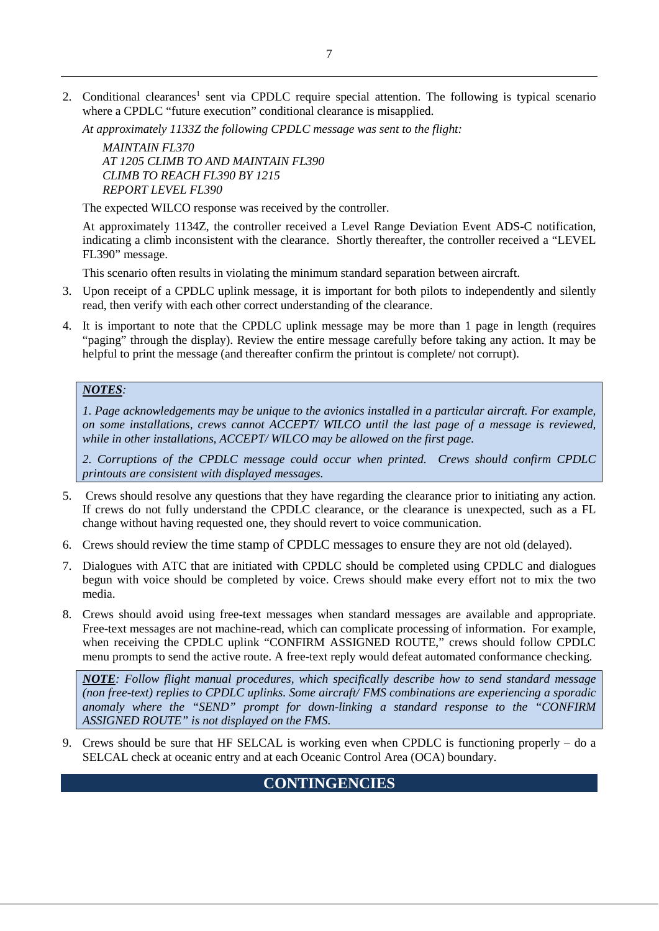2. Conditional clearances<sup>1</sup> sent via CPDLC require special attention. The following is typical scenario where a CPDLC "future execution" conditional clearance is misapplied.

*At approximately 1133Z the following CPDLC message was sent to the flight:* 

*MAINTAIN FL370 AT 1205 CLIMB TO AND MAINTAIN FL390 CLIMB TO REACH FL390 BY 1215 REPORT LEVEL FL390* 

The expected WILCO response was received by the controller.

At approximately 1134Z, the controller received a Level Range Deviation Event ADS-C notification, indicating a climb inconsistent with the clearance. Shortly thereafter, the controller received a "LEVEL FL390" message.

This scenario often results in violating the minimum standard separation between aircraft.

- 3. Upon receipt of a CPDLC uplink message, it is important for both pilots to independently and silently read, then verify with each other correct understanding of the clearance.
- 4. It is important to note that the CPDLC uplink message may be more than 1 page in length (requires "paging" through the display). Review the entire message carefully before taking any action. It may be helpful to print the message (and thereafter confirm the printout is complete/ not corrupt).

#### *NOTES:*

*1. Page acknowledgements may be unique to the avionics installed in a particular aircraft. For example, on some installations, crews cannot ACCEPT/ WILCO until the last page of a message is reviewed, while in other installations, ACCEPT/ WILCO may be allowed on the first page.*

*2. Corruptions of the CPDLC message could occur when printed. Crews should confirm CPDLC printouts are consistent with displayed messages.*

- 5. Crews should resolve any questions that they have regarding the clearance prior to initiating any action. If crews do not fully understand the CPDLC clearance, or the clearance is unexpected, such as a FL change without having requested one, they should revert to voice communication.
- 6. Crews should review the time stamp of CPDLC messages to ensure they are not old (delayed).
- 7. Dialogues with ATC that are initiated with CPDLC should be completed using CPDLC and dialogues begun with voice should be completed by voice. Crews should make every effort not to mix the two media.
- 8. Crews should avoid using free-text messages when standard messages are available and appropriate. Free-text messages are not machine-read, which can complicate processing of information. For example, when receiving the CPDLC uplink "CONFIRM ASSIGNED ROUTE," crews should follow CPDLC menu prompts to send the active route. A free-text reply would defeat automated conformance checking.

*NOTE: Follow flight manual procedures, which specifically describe how to send standard message (non free-text) replies to CPDLC uplinks. Some aircraft/ FMS combinations are experiencing a sporadic anomaly where the "SEND" prompt for down-linking a standard response to the "CONFIRM ASSIGNED ROUTE" is not displayed on the FMS.*

<span id="page-6-0"></span>9. Crews should be sure that HF SELCAL is working even when CPDLC is functioning properly – do a SELCAL check at oceanic entry and at each Oceanic Control Area (OCA) boundary.

## **CONTINGENCIES**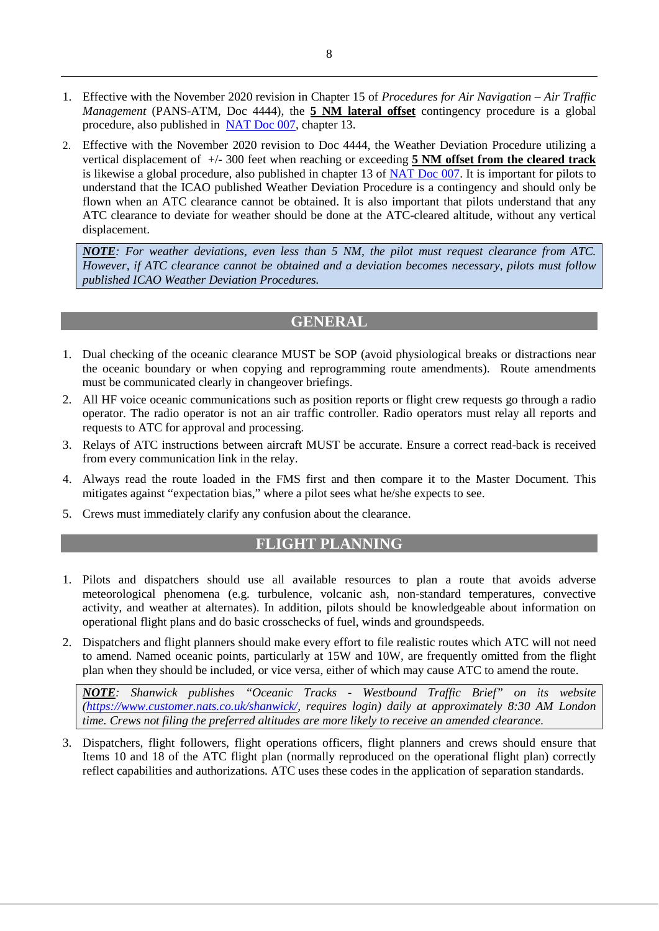- 1. Effective with the November 2020 revision in Chapter 15 of *Procedures for Air Navigation – Air Traffic Management* (PANS-ATM, Doc 4444), the **5 NM lateral offset** contingency procedure is a global procedure, also published in [NAT Doc 007,](https://www.icao.int/EURNAT/EUR%20and%20NAT%20Documents/NAT%20Documents/NAT%20Documents/NAT%20Doc%20007/NAT%20Doc%20007%20%20(EN)%20-%20Edition%20V.2020-2.1_eff%20from%20Jul%202020.pdf) chapter 13.
- <span id="page-7-2"></span>2. Effective with the November 2020 revision to Doc 4444, the Weather Deviation Procedure utilizing a vertical displacement of +/- 300 feet when reaching or exceeding **5 NM offset from the cleared track** is likewise a global procedure, also published in chapter 13 of [NAT Doc 007.](https://www.icao.int/EURNAT/EUR%20and%20NAT%20Documents/NAT%20Documents/NAT%20Documents/NAT%20Doc%20007/NAT%20Doc%20007%20%20(EN)%20-%20Edition%20V.2020-2.1_eff%20from%20Jul%202020.pdf) It is important for pilots to understand that the ICAO published Weather Deviation Procedure is a contingency and should only be flown when an ATC clearance cannot be obtained. It is also important that pilots understand that any ATC clearance to deviate for weather should be done at the ATC-cleared altitude, without any vertical displacement.

*NOTE: For weather deviations, even less than 5 NM, the pilot must request clearance from ATC. However, if ATC clearance cannot be obtained and a deviation becomes necessary, pilots must follow published ICAO Weather Deviation Procedures.*

#### **GENERAL**

- <span id="page-7-0"></span>1. Dual checking of the oceanic clearance MUST be SOP (avoid physiological breaks or distractions near the oceanic boundary or when copying and reprogramming route amendments). Route amendments must be communicated clearly in changeover briefings.
- 2. All HF voice oceanic communications such as position reports or flight crew requests go through a radio operator. The radio operator is not an air traffic controller. Radio operators must relay all reports and requests to ATC for approval and processing.
- 3. Relays of ATC instructions between aircraft MUST be accurate. Ensure a correct read-back is received from every communication link in the relay.
- 4. Always read the route loaded in the FMS first and then compare it to the Master Document. This mitigates against "expectation bias," where a pilot sees what he/she expects to see.
- <span id="page-7-1"></span>5. Crews must immediately clarify any confusion about the clearance.

#### **FLIGHT PLANNING**

- 1. Pilots and dispatchers should use all available resources to plan a route that avoids adverse meteorological phenomena (e.g. turbulence, volcanic ash, non-standard temperatures, convective activity, and weather at alternates). In addition, pilots should be knowledgeable about information on operational flight plans and do basic crosschecks of fuel, winds and groundspeeds.
- 2. Dispatchers and flight planners should make every effort to file realistic routes which ATC will not need to amend. Named oceanic points, particularly at 15W and 10W, are frequently omitted from the flight plan when they should be included, or vice versa, either of which may cause ATC to amend the route.

*NOTE: Shanwick publishes "Oceanic Tracks - Westbound Traffic Brief" on its website [\(https://www.customer.nats.co.uk/shanwick/,](https://www.customer.nats.co.uk/shanwick/) requires login) daily at approximately 8:30 AM London time. Crews not filing the preferred altitudes are more likely to receive an amended clearance.*

3. Dispatchers, flight followers, flight operations officers, flight planners and crews should ensure that Items 10 and 18 of the ATC flight plan (normally reproduced on the operational flight plan) correctly reflect capabilities and authorizations. ATC uses these codes in the application of separation standards.